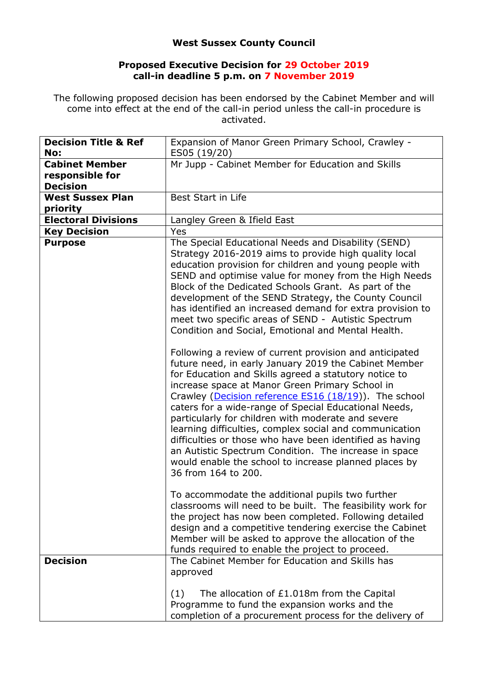## **West Sussex County Council**

## **Proposed Executive Decision for 29 October 2019 call-in deadline 5 p.m. on 7 November 2019**

The following proposed decision has been endorsed by the Cabinet Member and will come into effect at the end of the call-in period unless the call-in procedure is activated.

| <b>Decision Title &amp; Ref</b>          | Expansion of Manor Green Primary School, Crawley -                                                                                                                                                                                                                                                                                                                                                                                                                                                                                                                                                                                                                                                                                                                                                                                                                                                                                                                                                                                                                                                                                                                                                                                                                                                                                                                                                                                                                                                |
|------------------------------------------|---------------------------------------------------------------------------------------------------------------------------------------------------------------------------------------------------------------------------------------------------------------------------------------------------------------------------------------------------------------------------------------------------------------------------------------------------------------------------------------------------------------------------------------------------------------------------------------------------------------------------------------------------------------------------------------------------------------------------------------------------------------------------------------------------------------------------------------------------------------------------------------------------------------------------------------------------------------------------------------------------------------------------------------------------------------------------------------------------------------------------------------------------------------------------------------------------------------------------------------------------------------------------------------------------------------------------------------------------------------------------------------------------------------------------------------------------------------------------------------------------|
| No:                                      | ES05 (19/20)                                                                                                                                                                                                                                                                                                                                                                                                                                                                                                                                                                                                                                                                                                                                                                                                                                                                                                                                                                                                                                                                                                                                                                                                                                                                                                                                                                                                                                                                                      |
| <b>Cabinet Member</b><br>responsible for | Mr Jupp - Cabinet Member for Education and Skills                                                                                                                                                                                                                                                                                                                                                                                                                                                                                                                                                                                                                                                                                                                                                                                                                                                                                                                                                                                                                                                                                                                                                                                                                                                                                                                                                                                                                                                 |
| <b>Decision</b>                          |                                                                                                                                                                                                                                                                                                                                                                                                                                                                                                                                                                                                                                                                                                                                                                                                                                                                                                                                                                                                                                                                                                                                                                                                                                                                                                                                                                                                                                                                                                   |
| <b>West Sussex Plan</b><br>priority      | Best Start in Life                                                                                                                                                                                                                                                                                                                                                                                                                                                                                                                                                                                                                                                                                                                                                                                                                                                                                                                                                                                                                                                                                                                                                                                                                                                                                                                                                                                                                                                                                |
| <b>Electoral Divisions</b>               | Langley Green & Ifield East                                                                                                                                                                                                                                                                                                                                                                                                                                                                                                                                                                                                                                                                                                                                                                                                                                                                                                                                                                                                                                                                                                                                                                                                                                                                                                                                                                                                                                                                       |
| <b>Key Decision</b>                      | Yes                                                                                                                                                                                                                                                                                                                                                                                                                                                                                                                                                                                                                                                                                                                                                                                                                                                                                                                                                                                                                                                                                                                                                                                                                                                                                                                                                                                                                                                                                               |
| <b>Purpose</b>                           | The Special Educational Needs and Disability (SEND)<br>Strategy 2016-2019 aims to provide high quality local<br>education provision for children and young people with<br>SEND and optimise value for money from the High Needs<br>Block of the Dedicated Schools Grant. As part of the<br>development of the SEND Strategy, the County Council<br>has identified an increased demand for extra provision to<br>meet two specific areas of SEND - Autistic Spectrum<br>Condition and Social, Emotional and Mental Health.<br>Following a review of current provision and anticipated<br>future need, in early January 2019 the Cabinet Member<br>for Education and Skills agreed a statutory notice to<br>increase space at Manor Green Primary School in<br>Crawley (Decision reference ES16 (18/19)). The school<br>caters for a wide-range of Special Educational Needs,<br>particularly for children with moderate and severe<br>learning difficulties, complex social and communication<br>difficulties or those who have been identified as having<br>an Autistic Spectrum Condition. The increase in space<br>would enable the school to increase planned places by<br>36 from 164 to 200.<br>To accommodate the additional pupils two further<br>classrooms will need to be built. The feasibility work for<br>the project has now been completed. Following detailed<br>design and a competitive tendering exercise the Cabinet<br>Member will be asked to approve the allocation of the |
| <b>Decision</b>                          | funds required to enable the project to proceed.<br>The Cabinet Member for Education and Skills has<br>approved                                                                                                                                                                                                                                                                                                                                                                                                                                                                                                                                                                                                                                                                                                                                                                                                                                                                                                                                                                                                                                                                                                                                                                                                                                                                                                                                                                                   |
|                                          | The allocation of £1.018m from the Capital<br>(1)<br>Programme to fund the expansion works and the<br>completion of a procurement process for the delivery of                                                                                                                                                                                                                                                                                                                                                                                                                                                                                                                                                                                                                                                                                                                                                                                                                                                                                                                                                                                                                                                                                                                                                                                                                                                                                                                                     |